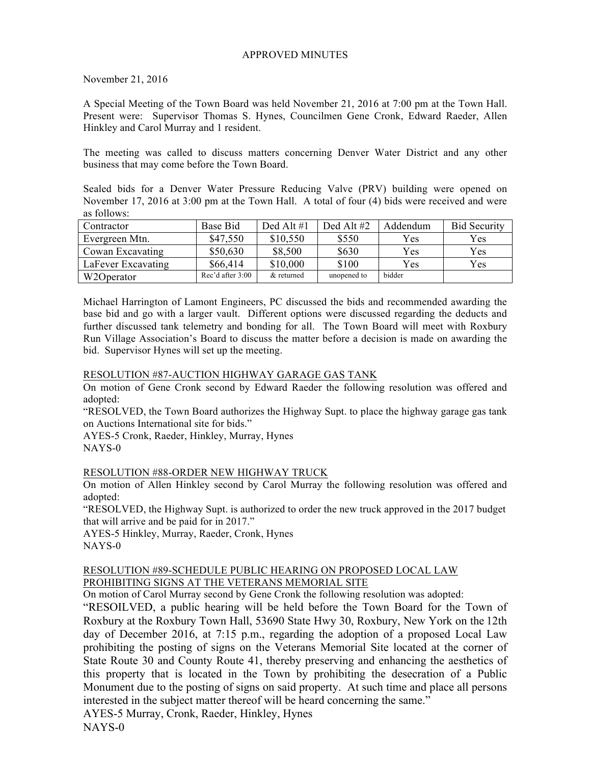## APPROVED MINUTES

November 21, 2016

A Special Meeting of the Town Board was held November 21, 2016 at 7:00 pm at the Town Hall. Present were: Supervisor Thomas S. Hynes, Councilmen Gene Cronk, Edward Raeder, Allen Hinkley and Carol Murray and 1 resident.

The meeting was called to discuss matters concerning Denver Water District and any other business that may come before the Town Board.

Sealed bids for a Denver Water Pressure Reducing Valve (PRV) building were opened on November 17, 2016 at 3:00 pm at the Town Hall. A total of four (4) bids were received and were as follows:

| Contractor         | Base Bid         | Ded Alt $#1$ | Ded Alt $#2$ | Addendum | <b>Bid Security</b> |
|--------------------|------------------|--------------|--------------|----------|---------------------|
| Evergreen Mtn.     | \$47,550         | \$10,550     | \$550        | Yes.     | Yes                 |
| Cowan Excavating   | \$50,630         | \$8,500      | \$630        | Yes      | Yes                 |
| LaFever Excavating | \$66,414         | \$10,000     | \$100        | Yes      | Yes                 |
| W2Operator         | Rec'd after 3:00 | & returned   | unopened to  | bidder   |                     |

Michael Harrington of Lamont Engineers, PC discussed the bids and recommended awarding the base bid and go with a larger vault. Different options were discussed regarding the deducts and further discussed tank telemetry and bonding for all. The Town Board will meet with Roxbury Run Village Association's Board to discuss the matter before a decision is made on awarding the bid. Supervisor Hynes will set up the meeting.

## RESOLUTION #87-AUCTION HIGHWAY GARAGE GAS TANK

On motion of Gene Cronk second by Edward Raeder the following resolution was offered and adopted:

"RESOLVED, the Town Board authorizes the Highway Supt. to place the highway garage gas tank on Auctions International site for bids."

AYES-5 Cronk, Raeder, Hinkley, Murray, Hynes NAYS-0

## RESOLUTION #88-ORDER NEW HIGHWAY TRUCK

On motion of Allen Hinkley second by Carol Murray the following resolution was offered and adopted:

"RESOLVED, the Highway Supt. is authorized to order the new truck approved in the 2017 budget that will arrive and be paid for in 2017."

AYES-5 Hinkley, Murray, Raeder, Cronk, Hynes NAYS-0

## RESOLUTION #89-SCHEDULE PUBLIC HEARING ON PROPOSED LOCAL LAW PROHIBITING SIGNS AT THE VETERANS MEMORIAL SITE

On motion of Carol Murray second by Gene Cronk the following resolution was adopted:

"RESOILVED, a public hearing will be held before the Town Board for the Town of Roxbury at the Roxbury Town Hall, 53690 State Hwy 30, Roxbury, New York on the 12th day of December 2016, at 7:15 p.m., regarding the adoption of a proposed Local Law prohibiting the posting of signs on the Veterans Memorial Site located at the corner of State Route 30 and County Route 41, thereby preserving and enhancing the aesthetics of this property that is located in the Town by prohibiting the desecration of a Public Monument due to the posting of signs on said property. At such time and place all persons interested in the subject matter thereof will be heard concerning the same." AYES-5 Murray, Cronk, Raeder, Hinkley, Hynes